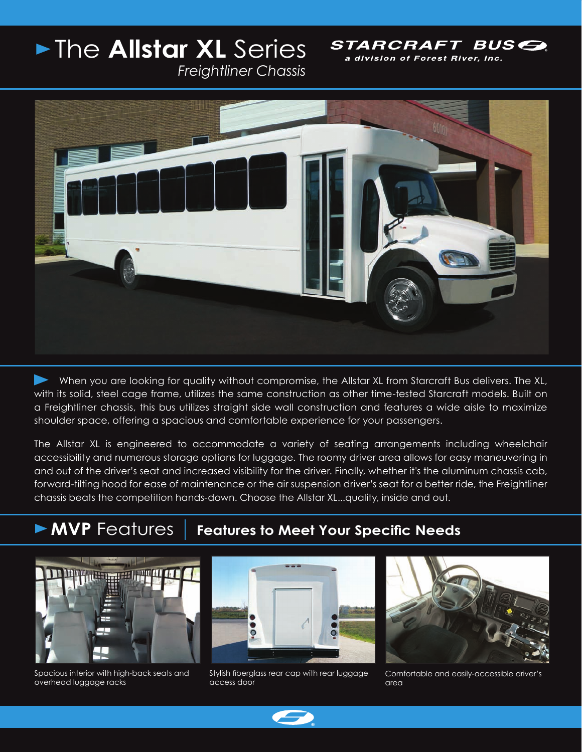## The **Allstar XL** Series

STARCRAFT BUSE a division of Forest River, Inc.

*Freightliner Chassis*



 When you are looking for quality without compromise, the Allstar XL from Starcraft Bus delivers. The XL, with its solid, steel cage frame, utilizes the same construction as other time-tested Starcraft models. Built on a Freightliner chassis, this bus utilizes straight side wall construction and features a wide aisle to maximize shoulder space, offering a spacious and comfortable experience for your passengers.

The Allstar XL is engineered to accommodate a variety of seating arrangements including wheelchair accessibility and numerous storage options for luggage. The roomy driver area allows for easy maneuvering in and out of the driver's seat and increased visibility for the driver. Finally, whether it's the aluminum chassis cab, forward-tilting hood for ease of maintenance or the air suspension driver's seat for a better ride, the Freightliner chassis beats the competition hands-down. Choose the Allstar XL...quality, inside and out.

## **MVP** Features | Features to Meet Your Specific Needs



Spacious interior with high-back seats and overhead luggage racks



Stylish fiberglass rear cap with rear luggage access door



Comfortable and easily-accessible driver's area